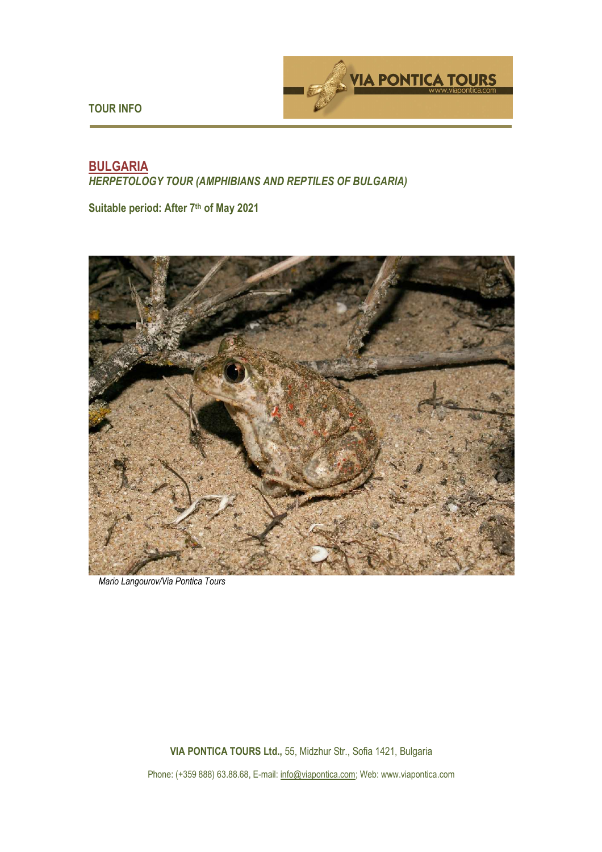**TOUR INFO** 



# **BULGARIA**  *HERPETOLOGY TOUR (AMPHIBIANS AND REPTILES OF BULGARIA)*

**Suitable period: After 7th of May 2021** 



 *Mario Langourov/Via Pontica Tours*

**VIA PONTICA TOURS Ltd.,** 55, Midzhur Str., Sofia 1421, Bulgaria

Phone: (+359 888) 63.88.68, E-mail: info@viapontica.com; Web: www.viapontica.com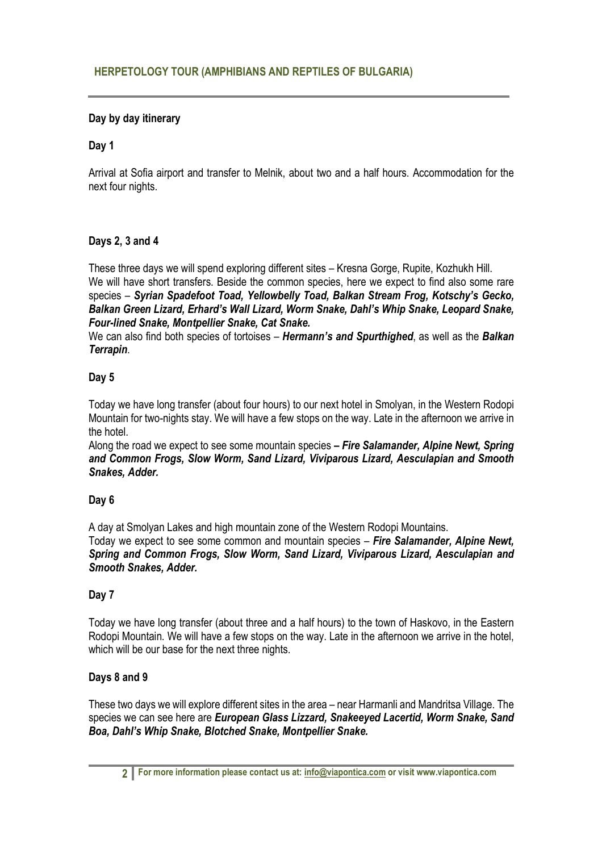## **Day by day itinerary**

### **Day 1**

Arrival at Sofia airport and transfer to Melnik, about two and a half hours. Accommodation for the next four nights.

### **Days 2, 3 and 4**

These three days we will spend exploring different sites – Kresna Gorge, Rupite, Kozhukh Hill. We will have short transfers. Beside the common species, here we expect to find also some rare species – *Syrian Spadefoot Toad, Yellowbelly Toad, Balkan Stream Frog, Kotschy's Gecko, Balkan Green Lizard, Erhard's Wall Lizard, Worm Snake, Dahl's Whip Snake, Leopard Snake, Four-lined Snake, Montpellier Snake, Cat Snake.*

We can also find both species of tortoises – *Hermann's and Spurthighed*, as well as the *Balkan Terrapin*.

#### **Day 5**

Today we have long transfer (about four hours) to our next hotel in Smolyan, in the Western Rodopi Mountain for two-nights stay. We will have a few stops on the way. Late in the afternoon we arrive in the hotel.

Along the road we expect to see some mountain species *– Fire Salamander, Alpine Newt, Spring and Common Frogs, Slow Worm, Sand Lizard, Viviparous Lizard, Aesculapian and Smooth Snakes, Adder.* 

#### **Day 6**

A day at Smolyan Lakes and high mountain zone of the Western Rodopi Mountains.

Today we expect to see some common and mountain species – *Fire Salamander, Alpine Newt, Spring and Common Frogs, Slow Worm, Sand Lizard, Viviparous Lizard, Aesculapian and Smooth Snakes, Adder.* 

#### **Day 7**

Today we have long transfer (about three and a half hours) to the town of Haskovo, in the Eastern Rodopi Mountain. We will have a few stops on the way. Late in the afternoon we arrive in the hotel, which will be our base for the next three nights.

#### **Days 8 and 9**

These two days we will explore different sites in the area – near Harmanli and Mandritsa Village. The species we can see here are *European Glass Lizzard, Snakeeyed Lacertid, Worm Snake, Sand Boa, Dahl's Whip Snake, Blotched Snake, Montpellier Snake.*